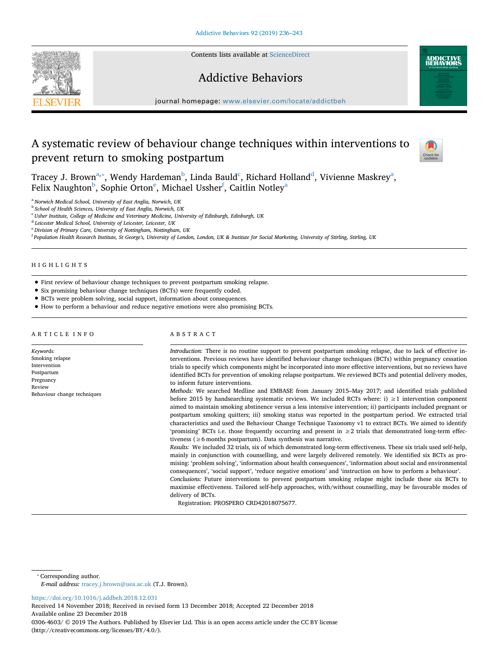Contents lists available at [ScienceDirect](http://www.sciencedirect.com/science/journal/03064603)







journal homepage: [www.elsevier.com/locate/addictbeh](https://www.elsevier.com/locate/addictbeh)

# A systematic review of behaviour change techniques within interventions to prevent return to smoking postpartum



Tra[c](#page-0-3)ey J. Brown $^{\rm a, *},$  $^{\rm a, *},$  $^{\rm a, *},$  Wen[d](#page-0-4)y Hardeman $^{\rm b}$ , Linda Bauld $^{\rm c}$ , Richard Holland $^{\rm d}$ , Vivienne Maskrey $^{\rm a}$ , F[e](#page-0-5)lix N[a](#page-0-0)ughton $^{\rm b}$  $^{\rm b}$  $^{\rm b}$ , Sophie Orton $^{\rm e}$ , Michael Ussher $^{\rm f}$  $^{\rm f}$  $^{\rm f}$ , Caitlin Notley $^{\rm a}$ 

<span id="page-0-0"></span><sup>a</sup> *Norwich Medical School, University of East Anglia, Norwich, UK*

<span id="page-0-2"></span><sup>b</sup> *School of Health Sciences, University of East Anglia, Norwich, UK*

<span id="page-0-3"></span><sup>c</sup> *Usher Institute, College of Medicine and Veterinary Medicine, University of Edinburgh, Edinburgh, UK*

<span id="page-0-4"></span><sup>d</sup> *Leicester Medical School, University of Leicester, Leicester, UK*

<span id="page-0-5"></span><sup>e</sup> *Division of Primary Care, University of Nottingham, Nottingham, UK*

<span id="page-0-6"></span>f *Population Health Research Institute, St George's, University of London, London, UK & Institute for Social Marketing, University of Stirling, Stirling, UK*

# HIGHLIGHTS

• First review of behaviour change techniques to prevent postpartum smoking relapse.

• Six promising behaviour change techniques (BCTs) were frequently coded.

• BCTs were problem solving, social support, information about consequences.

• How to perform a behaviour and reduce negative emotions were also promising BCTs.

#### ARTICLE INFO *Keywords:* Smoking relapse Intervention Postpartum Pregnancy Review Behaviour change techniques ABSTRACT *Introduction:* There is no routine support to prevent postpartum smoking relapse, due to lack of effective interventions. Previous reviews have identified behaviour change techniques (BCTs) within pregnancy cessation trials to specify which components might be incorporated into more effective interventions, but no reviews have identified BCTs for prevention of smoking relapse postpartum. We reviewed BCTs and potential delivery modes, to inform future interventions. *Methods:* We searched Medline and EMBASE from January 2015–May 2017; and identified trials published before 2015 by handsearching systematic reviews. We included RCTs where: i)  $\geq 1$  intervention component aimed to maintain smoking abstinence versus a less intensive intervention; ii) participants included pregnant or postpartum smoking quitters; iii) smoking status was reported in the postpartum period. We extracted trial characteristics and used the Behaviour Change Technique Taxonomy v1 to extract BCTs. We aimed to identify 'promising' BCTs i.e. those frequently occurring and present in ≥2 trials that demonstrated long-term effectiveness (≥6 months postpartum). Data synthesis was narrative. *Results:* We included 32 trials, six of which demonstrated long-term effectiveness. These six trials used self-help, mainly in conjunction with counselling, and were largely delivered remotely. We identified six BCTs as promising: 'problem solving', 'information about health consequences', 'information about social and environmental consequences', 'social support', 'reduce negative emotions' and 'instruction on how to perform a behaviour'. *Conclusions:* Future interventions to prevent postpartum smoking relapse might include these six BCTs to maximise effectiveness. Tailored self-help approaches, with/without counselling, may be favourable modes of delivery of BCTs. Registration: PROSPERO CRD42018075677.

<span id="page-0-1"></span>⁎ Corresponding author. *E-mail address:* [tracey.j.brown@uea.ac.uk](mailto:tracey.j.brown@uea.ac.uk) (T.J. Brown).

<https://doi.org/10.1016/j.addbeh.2018.12.031>

Received 14 November 2018; Received in revised form 13 December 2018; Accepted 22 December 2018 Available online 23 December 2018 0306-4603/ © 2019 The Authors. Published by Elsevier Ltd. This is an open access article under the CC BY license (http://creativecommons.org/licenses/BY/4.0/).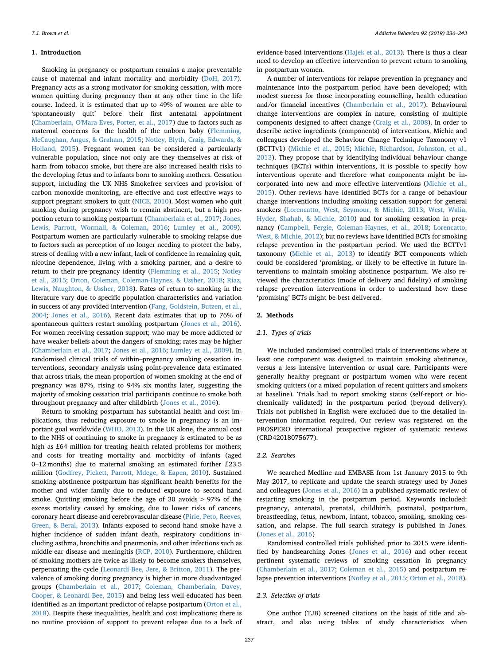#### **1. Introduction**

Smoking in pregnancy or postpartum remains a major preventable cause of maternal and infant mortality and morbidity ([DoH, 2017](#page-6-0)). Pregnancy acts as a strong motivator for smoking cessation, with more women quitting during pregnancy than at any other time in the life course. Indeed, it is estimated that up to 49% of women are able to 'spontaneously quit' before their first antenatal appointment ([Chamberlain, O'Mara-Eves, Porter, et al., 2017](#page-6-1)) due to factors such as maternal concerns for the health of the unborn baby [\(Flemming,](#page-6-2) [McCaughan, Angus, & Graham, 2015;](#page-6-2) [Notley, Blyth, Craig, Edwards, &](#page-7-0) [Holland, 2015](#page-7-0)). Pregnant women can be considered a particularly vulnerable population, since not only are they themselves at risk of harm from tobacco smoke, but there are also increased health risks to the developing fetus and to infants born to smoking mothers. Cessation support, including the UK NHS Smokefree services and provision of carbon monoxide monitoring, are effective and cost effective ways to support pregnant smokers to quit ([NICE, 2010](#page-7-1)). Most women who quit smoking during pregnancy wish to remain abstinent, but a high proportion return to smoking postpartum ([Chamberlain et al., 2017](#page-6-1); [Jones,](#page-6-3) [Lewis, Parrott, Wormall, & Coleman, 2016](#page-6-3); [Lumley et al., 2009](#page-7-2)). Postpartum women are particularly vulnerable to smoking relapse due to factors such as perception of no longer needing to protect the baby, stress of dealing with a new infant, lack of confidence in remaining quit, nicotine dependence, living with a smoking partner, and a desire to return to their pre-pregnancy identity ([Flemming et al., 2015](#page-6-2); [Notley](#page-7-0) [et al., 2015](#page-7-0); [Orton, Coleman, Coleman-Haynes, & Ussher, 2018;](#page-7-3) [Riaz,](#page-7-4) [Lewis, Naughton, & Ussher, 2018\)](#page-7-4). Rates of return to smoking in the literature vary due to specific population characteristics and variation in success of any provided intervention ([Fang, Goldstein, Butzen, et al.,](#page-6-4) [2004;](#page-6-4) [Jones et al., 2016](#page-6-3)). Recent data estimates that up to 76% of spontaneous quitters restart smoking postpartum [\(Jones et al., 2016](#page-6-3)). For women receiving cessation support; who may be more addicted or have weaker beliefs about the dangers of smoking; rates may be higher ([Chamberlain et al., 2017;](#page-6-1) [Jones et al., 2016](#page-6-3); [Lumley et al., 2009](#page-7-2)). In randomised clinical trials of within–pregnancy smoking cessation interventions, secondary analysis using point-prevalence data estimated that across trials, the mean proportion of women smoking at the end of pregnancy was 87%, rising to 94% six months later, suggesting the majority of smoking cessation trial participants continue to smoke both throughout pregnancy and after childbirth [\(Jones et al., 2016\)](#page-6-3).

Return to smoking postpartum has substantial health and cost implications, thus reducing exposure to smoke in pregnancy is an important goal worldwide ([WHO, 2013\)](#page-7-5). In the UK alone, the annual cost to the NHS of continuing to smoke in pregnancy is estimated to be as high as £64 million for treating health related problems for mothers; and costs for treating mortality and morbidity of infants (aged 0–12 months) due to maternal smoking an estimated further £23.5 million [\(Godfrey, Pickett, Parrott, Mdege, & Eapen, 2010](#page-6-5)). Sustained smoking abstinence postpartum has significant health benefits for the mother and wider family due to reduced exposure to second hand smoke. Quitting smoking before the age of 30 avoids > 97% of the excess mortality caused by smoking, due to lower risks of cancers, coronary heart disease and cerebrovascular disease ([Pirie, Peto, Reeves,](#page-7-6) [Green, & Beral, 2013](#page-7-6)). Infants exposed to second hand smoke have a higher incidence of sudden infant death, respiratory conditions including asthma, bronchitis and pneumonia, and other infections such as middle ear disease and meningitis ([RCP, 2010](#page-7-7)). Furthermore, children of smoking mothers are twice as likely to become smokers themselves, perpetuating the cycle [\(Leonardi-Bee, Jere, & Britton, 2011](#page-6-6)). The prevalence of smoking during pregnancy is higher in more disadvantaged groups ([Chamberlain et al., 2017;](#page-6-1) [Coleman, Chamberlain, Davey,](#page-6-7) [Cooper, & Leonardi-Bee, 2015](#page-6-7)) and being less well educated has been identified as an important predictor of relapse postpartum ([Orton et al.,](#page-7-3) [2018\)](#page-7-3). Despite these inequalities, health and cost implications; there is no routine provision of support to prevent relapse due to a lack of evidence-based interventions ([Hajek et al., 2013](#page-6-8)). There is thus a clear need to develop an effective intervention to prevent return to smoking in postpartum women.

A number of interventions for relapse prevention in pregnancy and maintenance into the postpartum period have been developed; with modest success for those incorporating counselling, health education and/or financial incentives ([Chamberlain et al., 2017\)](#page-6-1). Behavioural change interventions are complex in nature, consisting of multiple components designed to affect change [\(Craig et al., 2008](#page-6-9)). In order to describe active ingredients (components) of interventions, Michie and colleagues developed the Behaviour Change Technique Taxonomy v1 (BCTTv1) [\(Michie et al., 2015;](#page-7-8) [Michie, Richardson, Johnston, et al.,](#page-7-9) [2013\)](#page-7-9). They propose that by identifying individual behaviour change techniques (BCTs) within interventions, it is possible to specify how interventions operate and therefore what components might be incorporated into new and more effective interventions [\(Michie et al.,](#page-7-8) [2015\)](#page-7-8). Other reviews have identified BCTs for a range of behaviour change interventions including smoking cessation support for general smokers [\(Lorencatto, West, Seymour, & Michie, 2013](#page-7-10); [West, Walia,](#page-7-11) [Hyder, Shahab, & Michie, 2010\)](#page-7-11) and for smoking cessation in pregnancy ([Campbell, Fergie, Coleman-Haynes, et al., 2018;](#page-6-10) [Lorencatto,](#page-7-12) [West, & Michie, 2012\)](#page-7-12); but no reviews have identified BCTs for smoking relapse prevention in the postpartum period. We used the BCTTv1 taxonomy ([Michie et al., 2013\)](#page-7-9) to identify BCT components which could be considered 'promising, or likely to be effective in future interventions to maintain smoking abstinence postpartum. We also reviewed the characteristics (mode of delivery and fidelity) of smoking relapse prevention interventions in order to understand how these 'promising' BCTs might be best delivered.

# **2. Methods**

# *2.1. Types of trials*

We included randomised controlled trials of interventions where at least one component was designed to maintain smoking abstinence, versus a less intensive intervention or usual care. Participants were generally healthy pregnant or postpartum women who were recent smoking quitters (or a mixed population of recent quitters and smokers at baseline). Trials had to report smoking status (self-report or biochemically validated) in the postpartum period (beyond delivery). Trials not published in English were excluded due to the detailed intervention information required. Our review was registered on the PROSPERO international prospective register of systematic reviews (CRD42018075677).

#### *2.2. Searches*

We searched Medline and EMBASE from 1st January 2015 to 9th May 2017, to replicate and update the search strategy used by Jones and colleagues [\(Jones et al., 2016\)](#page-6-3) in a published systematic review of restarting smoking in the postpartum period. Keywords included: pregnancy, antenatal, prenatal, childbirth, postnatal, postpartum, breastfeeding, fetus, newborn, infant, tobacco, smoking, smoking cessation, and relapse. The full search strategy is published in Jones. ([Jones et al., 2016\)](#page-6-3)

Randomised controlled trials published prior to 2015 were identified by handsearching Jones ([Jones et al., 2016](#page-6-3)) and other recent pertinent systematic reviews of smoking cessation in pregnancy ([Chamberlain et al., 2017](#page-6-1); [Coleman et al., 2015\)](#page-6-7) and postpartum relapse prevention interventions [\(Notley et al., 2015;](#page-7-0) [Orton et al., 2018](#page-7-3)).

#### *2.3. Selection of trials*

One author (TJB) screened citations on the basis of title and abstract, and also using tables of study characteristics when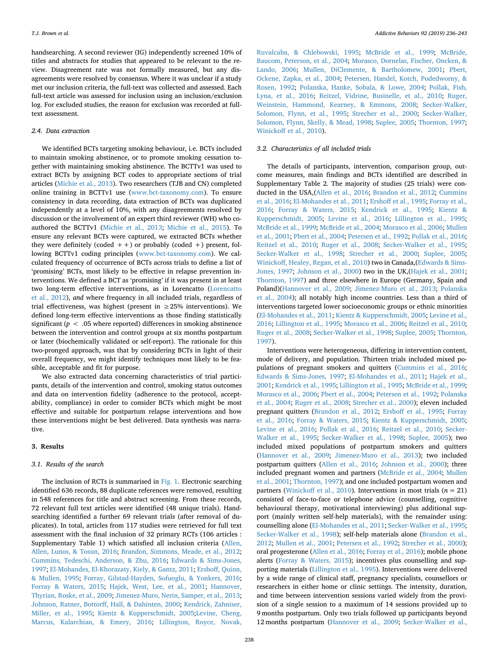handsearching. A second reviewer (IG) independently screened 10% of titles and abstracts for studies that appeared to be relevant to the review. Disagreement rate was not formally measured, but any disagreements were resolved by consensus. Where it was unclear if a study met our inclusion criteria, the full-text was collected and assessed. Each full-text article was assessed for inclusion using an inclusion/exclusion log. For excluded studies, the reason for exclusion was recorded at fulltext assessment.

# *2.4. Data extraction*

We identified BCTs targeting smoking behaviour, i.e. BCTs included to maintain smoking abstinence, or to promote smoking cessation together with maintaining smoking abstinence. The BCTTv1 was used to extract BCTs by assigning BCT codes to appropriate sections of trial articles [\(Michie et al., 2013\)](#page-7-9). Two researchers (TJB and CN) completed online training in BCTTv1 use ([www.bct-taxonomy.com](http://www.bct-taxonomy.com)). To ensure consistency in data recording, data extraction of BCTs was duplicated independently at a level of 10%, with any disagreements resolved by discussion or the involvement of an expert third reviewer (WH) who coauthored the BCTTv1 ([Michie et al., 2013;](#page-7-9) [Michie et al., 2015\)](#page-7-8). To ensure any relevant BCTs were captured, we extracted BCTs whether they were definitely (coded  $++$ ) or probably (coded  $+$ ) present, following BCTTv1 coding principles ([www.bct-taxonomy.com](http://www.bct-taxonomy.com)). We calculated frequency of occurrence of BCTs across trials to define a list of 'promising' BCTs, most likely to be effective in relapse prevention interventions. We defined a BCT as 'promising' if it was present in at least two long-term effective interventions, as in Lorencatto [\(Lorencatto](#page-7-12) [et al., 2012\)](#page-7-12), *and* where frequency in all included trials, regardless of trial effectiveness, was highest (present in  $\geq$  25% interventions). We defined long-term effective interventions as those finding statistically significant ( $p < .05$  where reported) differences in smoking abstinence between the intervention and control groups at six months postpartum or later (biochemically validated or self-report). The rationale for this two-pronged approach, was that by considering BCTs in light of their overall frequency, we might identify techniques most likely to be feasible, acceptable and fit for purpose.

We also extracted data concerning characteristics of trial participants, details of the intervention and control, smoking status outcomes and data on intervention fidelity (adherence to the protocol, acceptability, compliance) in order to consider BCTs which might be most effective and suitable for postpartum relapse interventions and how these interventions might be best delivered. Data synthesis was narrative.

#### **3. Results**

#### *3.1. Results of the search*

The inclusion of RCTs is summarised in [Fig. 1](#page-3-0). Electronic searching identified 636 records, 88 duplicate references were removed, resulting in 548 references for title and abstract screening. From these records, 72 relevant full text articles were identified (48 unique trials). Handsearching identified a further 69 relevant trials (after removal of duplicates). In total, articles from 117 studies were retrieved for full text assessment with the final inclusion of 32 primary RCTs (106 articles : Supplementary Table 1) which satisfied all inclusion criteria ([Allen,](#page-6-11) [Allen, Lunos, & Tosun, 2016;](#page-6-11) [Brandon, Simmons, Meade, et al., 2012](#page-6-12); [Cummins, Tedeschi, Anderson, & Zhu, 2016;](#page-6-13) [Edwards & Sims-Jones,](#page-6-14) [1997;](#page-6-14) [El-Mohandes, El-Khorazaty, Kiely, & Gantz, 2011](#page-6-15); [Ershoff, Quinn,](#page-6-16) [& Mullen, 1995;](#page-6-16) [Forray, Gilstad-Hayden, Sofuoglu, & Yonkers, 2016](#page-6-17); [Forray & Waters, 2015](#page-6-18); [Hajek, West, Lee, et al., 2001](#page-6-19); [Hannover,](#page-6-20) [Thyrian, Roske, et al., 2009;](#page-6-20) [Jimenez-Muro, Nerin, Samper, et al., 2013](#page-6-21); [Johnson, Ratner, Bottorff, Hall, & Dahinten, 2000;](#page-6-22) [Kendrick, Zahniser,](#page-6-23) [Miller, et al., 1995](#page-6-23); [Kientz & Kupperschmidt, 2005](#page-6-24)[;Levine, Cheng,](#page-7-13) [Marcus, Kalarchian, & Emery, 2016](#page-7-13); [Lillington, Royce, Novak,](#page-7-14)

[Ruvalcaba, & Chlebowski, 1995;](#page-7-14) [McBride et al., 1999](#page-7-15); [McBride,](#page-7-16) [Baucom, Peterson, et al., 2004](#page-7-16); [Morasco, Dornelas, Fischer, Oncken, &](#page-7-17) [Lando, 2006](#page-7-17); [Mullen, DiClemente, & Bartholomew, 2001;](#page-7-18) [Pbert,](#page-7-19) [Ockene, Zapka, et al., 2004](#page-7-19); [Petersen, Handel, Kotch, Podedworny, &](#page-7-20) [Rosen, 1992;](#page-7-20) [Polanska, Hanke, Sobala, & Lowe, 2004;](#page-7-21) [Pollak, Fish,](#page-7-22) [Lyna, et al., 2016;](#page-7-22) [Reitzel, Vidrine, Businelle, et al., 2010;](#page-7-23) [Ruger,](#page-7-24) [Weinstein, Hammond, Kearney, & Emmons, 2008](#page-7-24); [Secker-Walker,](#page-7-25) [Solomon, Flynn, et al., 1995](#page-7-25); [Strecher et al., 2000](#page-7-26); [Secker-Walker,](#page-7-27) [Solomon, Flynn, Skelly, & Mead, 1998;](#page-7-27) [Suplee, 2005;](#page-7-28) [Thornton, 1997](#page-7-29); [Winickoff et al., 2010](#page-7-30)).

# *3.2. Characteristics of all included trials*

The details of participants, intervention, comparison group, outcome measures, main findings and BCTs identified are described in Supplementary Table 2. The majority of studies (25 trials) were conducted in the USA,([Allen et al., 2016](#page-6-11); [Brandon et al., 2012](#page-6-12); [Cummins](#page-6-13) [et al., 2016](#page-6-13); [El-Mohandes et al., 2011;](#page-6-15) [Ershoff et al., 1995;](#page-6-16) [Forray et al.,](#page-6-17) [2016;](#page-6-17) [Forray & Waters, 2015](#page-6-18); [Kendrick et al., 1995;](#page-6-23) [Kientz &](#page-6-24) [Kupperschmidt, 2005;](#page-6-24) [Levine et al., 2016;](#page-7-13) [Lillington et al., 1995](#page-7-14); [McBride et al., 1999;](#page-7-15) [McBride et al., 2004](#page-7-16); [Morasco et al., 2006;](#page-7-17) [Mullen](#page-7-18) [et al., 2001](#page-7-18); [Pbert et al., 2004](#page-7-19); [Petersen et al., 1992](#page-7-20); [Pollak et al., 2016](#page-7-22); [Reitzel et al., 2010;](#page-7-23) [Ruger et al., 2008;](#page-7-24) [Secker-Walker et al., 1995](#page-7-25); [Secker-Walker et al., 1998](#page-7-27); [Strecher et al., 2000;](#page-7-26) [Suplee, 2005](#page-7-28); [Winickoff, Healey, Regan, et al., 2010\)](#page-7-30) two in Canada,[\(Edwards & Sims-](#page-6-14)[Jones, 1997;](#page-6-14) [Johnson et al., 2000](#page-6-22)) two in the UK,([Hajek et al., 2001](#page-6-19); [Thornton, 1997\)](#page-7-29) and three elsewhere in Europe (Germany, Spain and Poland)([Hannover et al., 2009;](#page-6-20) [Jimenez-Muro et al., 2013](#page-6-21); [Polanska](#page-7-21) [et al., 2004\)](#page-7-21); all notably high income countries. Less than a third of interventions targeted lower socioeconomic groups or ethnic minorities ([El-Mohandes et al., 2011;](#page-6-15) [Kientz & Kupperschmidt, 2005;](#page-6-24) [Levine et al.,](#page-7-13) [2016;](#page-7-13) [Lillington et al., 1995](#page-7-14); [Morasco et al., 2006;](#page-7-17) [Reitzel et al., 2010](#page-7-23); [Ruger et al., 2008;](#page-7-24) [Secker-Walker et al., 1998;](#page-7-27) [Suplee, 2005;](#page-7-28) [Thornton,](#page-7-29) [1997\)](#page-7-29).

Interventions were heterogeneous, differing in intervention content, mode of delivery, and population. Thirteen trials included mixed populations of pregnant smokers and quitters [\(Cummins et al., 2016](#page-6-13); [Edwards & Sims-Jones, 1997](#page-6-14); [El-Mohandes et al., 2011;](#page-6-15) [Hajek et al.,](#page-6-19) [2001;](#page-6-19) [Kendrick et al., 1995](#page-6-23); [Lillington et al., 1995;](#page-7-14) [McBride et al., 1999](#page-7-15); [Morasco et al., 2006;](#page-7-17) [Pbert et al., 2004;](#page-7-19) [Petersen et al., 1992;](#page-7-20) [Polanska](#page-7-21) [et al., 2004](#page-7-21); [Ruger et al., 2008](#page-7-24); [Strecher et al., 2000\)](#page-7-26); eleven included pregnant quitters [\(Brandon et al., 2012](#page-6-12); [Ershoff et al., 1995;](#page-6-16) [Forray](#page-6-17) [et al., 2016;](#page-6-17) [Forray & Waters, 2015](#page-6-18); [Kientz & Kupperschmidt, 2005](#page-6-24); [Levine et al., 2016](#page-7-13); [Pollak et al., 2016](#page-7-22); [Reitzel et al., 2010](#page-7-23); [Secker-](#page-7-25)[Walker et al., 1995;](#page-7-25) [Secker-Walker et al., 1998](#page-7-27); [Suplee, 2005](#page-7-28)); two included mixed populations of postpartum smokers and quitters ([Hannover et al., 2009](#page-6-20); [Jimenez-Muro et al., 2013\)](#page-6-21); two included postpartum quitters [\(Allen et al., 2016](#page-6-11); [Johnson et al., 2000\)](#page-6-22); three included pregnant women and partners [\(McBride et al., 2004;](#page-7-16) [Mullen](#page-7-18) [et al., 2001;](#page-7-18) [Thornton, 1997](#page-7-29)); and one included postpartum women and partners [\(Winickoff et al., 2010\)](#page-7-30). Interventions in most trials (*n* = 21) consisted of face-to-face or telephone advice (counselling, cognitive behavioural therapy, motivational interviewing) plus additional support (mainly written self-help materials), with the remainder using: counselling alone ([El-Mohandes et al., 2011](#page-6-15); [Secker-Walker et al., 1995](#page-7-25); [Secker-Walker et al., 1998\)](#page-7-27); self-help materials alone [\(Brandon et al.,](#page-6-12) [2012;](#page-6-12) [Mullen et al., 2001](#page-7-18); [Petersen et al., 1992](#page-7-20); [Strecher et al., 2000](#page-7-26)); oral progesterone [\(Allen et al., 2016](#page-6-11); [Forray et al., 2016](#page-6-17)); mobile phone alerts ([Forray & Waters, 2015\)](#page-6-18); incentives plus counselling and supporting materials [\(Lillington et al., 1995\)](#page-7-14). Interventions were delivered by a wide range of clinical staff, pregnancy specialists, counsellors or researchers in either home or clinic settings. The intensity, duration, and time between intervention sessions varied widely from the provision of a single session to a maximum of 14 sessions provided up to 9 months postpartum. Only two trials followed up participants beyond 12 months postpartum [\(Hannover et al., 2009;](#page-6-20) [Secker-Walker et al.,](#page-7-25)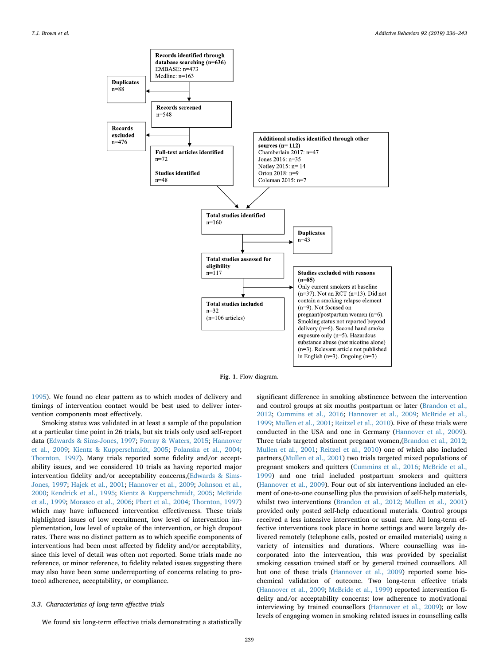<span id="page-3-0"></span>

**Fig. 1.** Flow diagram.

[1995\)](#page-7-25). We found no clear pattern as to which modes of delivery and timings of intervention contact would be best used to deliver intervention components most effectively.

Smoking status was validated in at least a sample of the population at a particular time point in 26 trials, but six trials only used self-report data ([Edwards & Sims-Jones, 1997](#page-6-14); [Forray & Waters, 2015](#page-6-18); [Hannover](#page-6-20) [et al., 2009](#page-6-20); [Kientz & Kupperschmidt, 2005](#page-6-24); [Polanska et al., 2004](#page-7-21); [Thornton, 1997\)](#page-7-29). Many trials reported some fidelity and/or acceptability issues, and we considered 10 trials as having reported major intervention fidelity and/or acceptability concerns,[\(Edwards & Sims-](#page-6-14)[Jones, 1997](#page-6-14); [Hajek et al., 2001;](#page-6-19) [Hannover et al., 2009;](#page-6-20) [Johnson et al.,](#page-6-22) [2000;](#page-6-22) [Kendrick et al., 1995](#page-6-23); [Kientz & Kupperschmidt, 2005;](#page-6-24) [McBride](#page-7-15) [et al., 1999;](#page-7-15) [Morasco et al., 2006](#page-7-17); [Pbert et al., 2004;](#page-7-19) [Thornton, 1997\)](#page-7-29) which may have influenced intervention effectiveness. These trials highlighted issues of low recruitment, low level of intervention implementation, low level of uptake of the intervention, or high dropout rates. There was no distinct pattern as to which specific components of interventions had been most affected by fidelity and/or acceptability, since this level of detail was often not reported. Some trials made no reference, or minor reference, to fidelity related issues suggesting there may also have been some underreporting of concerns relating to protocol adherence, acceptability, or compliance.

# *3.3. Characteristics of long-term effective trials*

We found six long-term effective trials demonstrating a statistically

significant difference in smoking abstinence between the intervention and control groups at six months postpartum or later [\(Brandon et al.,](#page-6-12) [2012;](#page-6-12) [Cummins et al., 2016](#page-6-13); [Hannover et al., 2009](#page-6-20); [McBride et al.,](#page-7-15) [1999;](#page-7-15) [Mullen et al., 2001;](#page-7-18) [Reitzel et al., 2010](#page-7-23)). Five of these trials were conducted in the USA and one in Germany [\(Hannover et al., 2009](#page-6-20)). Three trials targeted abstinent pregnant women,[\(Brandon et al., 2012](#page-6-12); [Mullen et al., 2001;](#page-7-18) [Reitzel et al., 2010](#page-7-23)) one of which also included partners,([Mullen et al., 2001\)](#page-7-18) two trials targeted mixed populations of pregnant smokers and quitters ([Cummins et al., 2016](#page-6-13); [McBride et al.,](#page-7-15) [1999\)](#page-7-15) and one trial included postpartum smokers and quitters ([Hannover et al., 2009\)](#page-6-20). Four out of six interventions included an element of one-to-one counselling plus the provision of self-help materials, whilst two interventions ([Brandon et al., 2012;](#page-6-12) [Mullen et al., 2001\)](#page-7-18) provided only posted self-help educational materials. Control groups received a less intensive intervention or usual care. All long-term effective interventions took place in home settings and were largely delivered remotely (telephone calls, posted or emailed materials) using a variety of intensities and durations. Where counselling was incorporated into the intervention, this was provided by specialist smoking cessation trained staff or by general trained counsellors. All but one of these trials ([Hannover et al., 2009](#page-6-20)) reported some biochemical validation of outcome. Two long-term effective trials ([Hannover et al., 2009;](#page-6-20) [McBride et al., 1999\)](#page-7-15) reported intervention fidelity and/or acceptability concerns: low adherence to motivational interviewing by trained counsellors ([Hannover et al., 2009](#page-6-20)); or low levels of engaging women in smoking related issues in counselling calls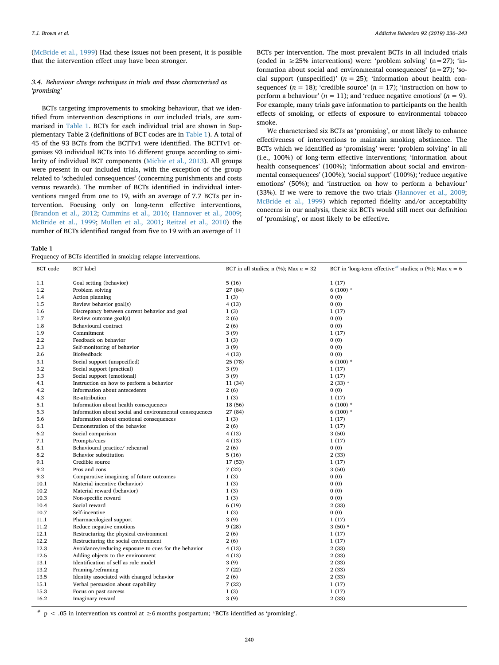*T.J. Brown et al. Addictive Behaviors 92 (2019) 236–243*

([McBride et al., 1999](#page-7-15)) Had these issues not been present, it is possible that the intervention effect may have been stronger.

# *3.4. Behaviour change techniques in trials and those characterised as 'promising'*

BCTs targeting improvements to smoking behaviour, that we identified from intervention descriptions in our included trials, are summarised in [Table 1](#page-4-0). BCTs for each individual trial are shown in Supplementary Table 2 (definitions of BCT codes are in [Table 1](#page-4-0)). A total of 45 of the 93 BCTs from the BCTTv1 were identified. The BCTTv1 organises 93 individual BCTs into 16 different groups according to similarity of individual BCT components ([Michie et al., 2013](#page-7-9)). All groups were present in our included trials, with the exception of the group related to 'scheduled consequences' (concerning punishments and costs versus rewards). The number of BCTs identified in individual interventions ranged from one to 19, with an average of 7.7 BCTs per intervention. Focusing only on long-term effective interventions, ([Brandon et al., 2012](#page-6-12); [Cummins et al., 2016;](#page-6-13) [Hannover et al., 2009](#page-6-20); [McBride et al., 1999](#page-7-15); [Mullen et al., 2001;](#page-7-18) [Reitzel et al., 2010](#page-7-23)) the number of BCTs identified ranged from five to 19 with an average of 11

BCTs per intervention. The most prevalent BCTs in all included trials (coded in  $\geq$  25% interventions) were: 'problem solving' (n=27); 'information about social and environmental consequences'  $(n=27)$ ; 'social support (unspecified)'  $(n = 25)$ ; 'information about health consequences'  $(n = 18)$ ; 'credible source'  $(n = 17)$ ; 'instruction on how to perform a behaviour' ( $n = 11$ ); and 'reduce negative emotions' ( $n = 9$ ). For example, many trials gave information to participants on the health effects of smoking, or effects of exposure to environmental tobacco smoke.

We characterised six BCTs as 'promising', or most likely to enhance effectiveness of interventions to maintain smoking abstinence. The BCTs which we identified as 'promising' were: 'problem solving' in all (i.e., 100%) of long-term effective interventions; 'information about health consequences' (100%); 'information about social and environmental consequences' (100%); 'social support' (100%); 'reduce negative emotions' (50%); and 'instruction on how to perform a behaviour' (33%). If we were to remove the two trials ([Hannover et al., 2009](#page-6-20); [McBride et al., 1999](#page-7-15)) which reported fidelity and/or acceptability concerns in our analysis, these six BCTs would still meet our definition of 'promising', or most likely to be effective.

<span id="page-4-0"></span>**Table 1**

Frequency of BCTs identified in smoking relapse interventions.

| <b>BCT</b> code | <b>BCT</b> label                                        | BCT in all studies; n $(\%)$ ; Max $n = 32$ | BCT in 'long-term effective' <sup>#</sup> studies; n (%); Max $n = 6$ |
|-----------------|---------------------------------------------------------|---------------------------------------------|-----------------------------------------------------------------------|
| 1.1             | Goal setting (behavior)                                 | 5(16)                                       | 1(17)                                                                 |
| 1.2             | Problem solving                                         | 27 (84)                                     | 6 $(100)$ *                                                           |
| 1.4             | Action planning                                         | 1(3)                                        | 0(0)                                                                  |
| 1.5             | Review behavior goal(s)                                 | 4(13)                                       | 0(0)                                                                  |
| 1.6             | Discrepancy between current behavior and goal           | 1(3)                                        | 1(17)                                                                 |
| 1.7             | Review outcome goal(s)                                  | 2(6)                                        | 0(0)                                                                  |
| 1.8             | Behavioural contract                                    | 2(6)                                        | 0(0)                                                                  |
| 1.9             | Commitment                                              | 3(9)                                        | 1(17)                                                                 |
| 2.2             | Feedback on behavior                                    | 1(3)                                        | 0(0)                                                                  |
| 2.3             | Self-monitoring of behavior                             | 3(9)                                        | 0(0)                                                                  |
| 2.6             | Biofeedback                                             | 4(13)                                       | 0(0)                                                                  |
| 3.1             | Social support (unspecified)                            | 25 (78)                                     | 6 $(100)$ *                                                           |
| 3.2             | Social support (practical)                              | 3(9)                                        | 1(17)                                                                 |
| 3.3             | Social support (emotional)                              | 3(9)                                        | 1(17)                                                                 |
| 4.1             | Instruction on how to perform a behavior                | 11 (34)                                     | $2(33) *$                                                             |
| 4.2             | Information about antecedents                           | 2(6)                                        | 0(0)                                                                  |
| 4.3             | Re-attribution                                          | 1(3)                                        | 1(17)                                                                 |
| 5.1             | Information about health consequences                   | 18 (56)                                     | $6(100)$ *                                                            |
| 5.3             | Information about social and environmental consequences | 27 (84)                                     | $6(100)$ *                                                            |
| 5.6             | Information about emotional consequences                | 1(3)                                        | 1(17)                                                                 |
| 6.1             | Demonstration of the behavior                           | 2(6)                                        | 1(17)                                                                 |
| 6.2             | Social comparison                                       | 4(13)                                       | 3(50)                                                                 |
| 7.1             | Prompts/cues                                            | 4(13)                                       | 1(17)                                                                 |
| 8.1             | Behavioural practice/rehearsal                          | 2(6)                                        | 0(0)                                                                  |
| 8.2             | Behavior substitution                                   | 5(16)                                       | 2(33)                                                                 |
| 9.1             | Credible source                                         |                                             |                                                                       |
| 9.2             | Pros and cons                                           | 17 (53)<br>7(22)                            | 1(17)                                                                 |
| 9.3             | Comparative imagining of future outcomes                |                                             | 3(50)                                                                 |
| 10.1            | Material incentive (behavior)                           | 1(3)                                        | 0(0)                                                                  |
|                 |                                                         | 1(3)                                        | 0(0)                                                                  |
| 10.2            | Material reward (behavior)                              | 1(3)                                        | 0(0)                                                                  |
| 10.3            | Non-specific reward                                     | 1(3)                                        | 0(0)                                                                  |
| 10.4            | Social reward                                           | 6(19)                                       | 2(33)                                                                 |
| 10.7            | Self-incentive                                          | 1(3)                                        | 0(0)                                                                  |
| 11.1            | Pharmacological support                                 | 3(9)                                        | 1(17)                                                                 |
| 11.2            | Reduce negative emotions                                | 9(28)                                       | $3(50)*$                                                              |
| 12.1            | Restructuring the physical environment                  | 2(6)                                        | 1(17)                                                                 |
| 12.2            | Restructuring the social environment                    | 2(6)                                        | 1(17)                                                                 |
| 12.3            | Avoidance/reducing exposure to cues for the behavior    | 4(13)                                       | 2(33)                                                                 |
| 12.5            | Adding objects to the environment                       | 4(13)                                       | 2(33)                                                                 |
| 13.1            | Identification of self as role model                    | 3(9)                                        | 2(33)                                                                 |
| 13.2            | Framing/reframing                                       | 7(22)                                       | 2(33)                                                                 |
| 13.5            | Identity associated with changed behavior               | 2(6)                                        | 2(33)                                                                 |
| 15.1            | Verbal persuasion about capability                      | 7(22)                                       | 1(17)                                                                 |
| 15.3            | Focus on past success                                   | 1(3)                                        | 1(17)                                                                 |
| 16.2            | Imaginary reward                                        | 3(9)                                        | 2(33)                                                                 |

<span id="page-4-1"></span># p < .05 in intervention vs control at  $\geq$ 6 months postpartum; \*BCTs identified as 'promising'.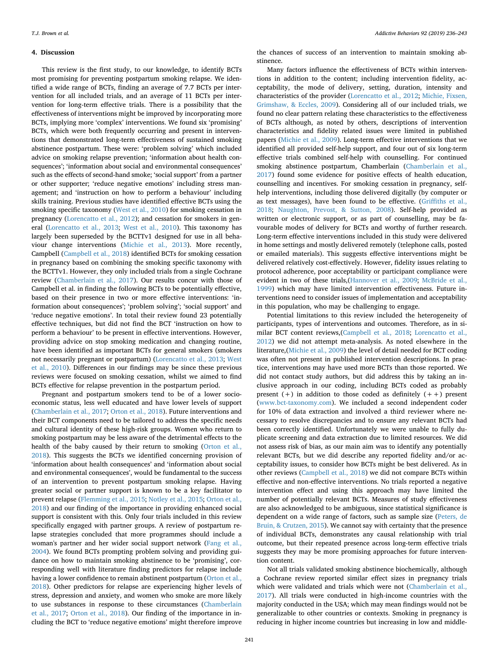#### **4. Discussion**

This review is the first study, to our knowledge, to identify BCTs most promising for preventing postpartum smoking relapse. We identified a wide range of BCTs, finding an average of 7.7 BCTs per intervention for all included trials, and an average of 11 BCTs per intervention for long-term effective trials. There is a possibility that the effectiveness of interventions might be improved by incorporating more BCTs, implying more 'complex' interventions. We found six 'promising' BCTs, which were both frequently occurring and present in interventions that demonstrated long-term effectiveness of sustained smoking abstinence postpartum. These were: 'problem solving' which included advice on smoking relapse prevention; 'information about health consequences'; 'information about social and environmental consequences' such as the effects of second-hand smoke; 'social support' from a partner or other supporter; 'reduce negative emotions' including stress management; and 'instruction on how to perform a behaviour' including skills training. Previous studies have identified effective BCTs using the smoking specific taxonomy ([West et al., 2010\)](#page-7-11) for smoking cessation in pregnancy ([Lorencatto et al., 2012](#page-7-12)); and cessation for smokers in general ([Lorencatto et al., 2013;](#page-7-10) [West et al., 2010\)](#page-7-11). This taxonomy has largely been superseded by the BCTTv1 designed for use in all behaviour change interventions [\(Michie et al., 2013](#page-7-9)). More recently, Campbell [\(Campbell et al., 2018](#page-6-10)) identified BCTs for smoking cessation in pregnancy based on combining the smoking specific taxonomy with the BCTTv1. However, they only included trials from a single Cochrane review [\(Chamberlain et al., 2017\)](#page-6-1). Our results concur with those of Campbell et al. in finding the following BCTs to be potentially effective, based on their presence in two or more effective interventions: 'information about consequences'; 'problem solving'; 'social support' and 'reduce negative emotions'. In total their review found 23 potentially effective techniques, but did not find the BCT 'instruction on how to perform a behaviour' to be present in effective interventions. However, providing advice on stop smoking medication and changing routine, have been identified as important BCTs for general smokers (smokers not necessarily pregnant or postpartum) ([Lorencatto et al., 2013;](#page-7-10) [West](#page-7-11) [et al., 2010](#page-7-11)). Differences in our findings may be since these previous reviews were focused on smoking cessation, whilst we aimed to find BCTs effective for relapse prevention in the postpartum period.

Pregnant and postpartum smokers tend to be of a lower socioeconomic status, less well educated and have lower levels of support ([Chamberlain et al., 2017;](#page-6-1) [Orton et al., 2018](#page-7-3)). Future interventions and their BCT components need to be tailored to address the specific needs and cultural identity of these high-risk groups. Women who return to smoking postpartum may be less aware of the detrimental effects to the health of the baby caused by their return to smoking [\(Orton et al.,](#page-7-3) [2018\)](#page-7-3). This suggests the BCTs we identified concerning provision of 'information about health consequences' and 'information about social and environmental consequences', would be fundamental to the success of an intervention to prevent postpartum smoking relapse. Having greater social or partner support is known to be a key facilitator to prevent relapse [\(Flemming et al., 2015](#page-6-2); [Notley et al., 2015](#page-7-0); [Orton et al.,](#page-7-3) [2018\)](#page-7-3) and our finding of the importance in providing enhanced social support is consistent with this. Only four trials included in this review specifically engaged with partner groups. A review of postpartum relapse strategies concluded that more programmes should include a woman's partner and her wider social support network ([Fang et al.,](#page-6-4) [2004\)](#page-6-4). We found BCTs prompting problem solving and providing guidance on how to maintain smoking abstinence to be 'promising', corresponding well with literature finding predictors for relapse include having a lower confidence to remain abstinent postpartum ([Orton et al.,](#page-7-3) [2018\)](#page-7-3). Other predictors for relapse are experiencing higher levels of stress, depression and anxiety, and women who smoke are more likely to use substances in response to these circumstances [\(Chamberlain](#page-6-1) [et al., 2017](#page-6-1); [Orton et al., 2018](#page-7-3)). Our finding of the importance in including the BCT to 'reduce negative emotions' might therefore improve

the chances of success of an intervention to maintain smoking abstinence.

Many factors influence the effectiveness of BCTs within interventions in addition to the content; including intervention fidelity, acceptability, the mode of delivery, setting, duration, intensity and characteristics of the provider ([Lorencatto et al., 2012](#page-7-12); [Michie, Fixsen,](#page-7-31) [Grimshaw, & Eccles, 2009\)](#page-7-31). Considering all of our included trials, we found no clear pattern relating these characteristics to the effectiveness of BCTs although, as noted by others, descriptions of intervention characteristics and fidelity related issues were limited in published papers [\(Michie et al., 2009\)](#page-7-31). Long-term effective interventions that we identified all provided self-help support, and four out of six long-term effective trials combined self-help with counselling. For continued smoking abstinence postpartum, Chamberlain ([Chamberlain et al.,](#page-6-1) [2017\)](#page-6-1) found some evidence for positive effects of health education, counselling and incentives. For smoking cessation in pregnancy, selfhelp interventions, including those delivered digitally (by computer or as text messages), have been found to be effective. [\(Griffiths et al.,](#page-6-25) [2018;](#page-6-25) [Naughton, Prevost, & Sutton, 2008](#page-7-32)). Self-help provided as written or electronic support, or as part of counselling, may be favourable modes of delivery for BCTs and worthy of further research. Long-term effective interventions included in this study were delivered in home settings and mostly delivered remotely (telephone calls, posted or emailed materials). This suggests effective interventions might be delivered relatively cost-effectively. However, fidelity issues relating to protocol adherence, poor acceptability or participant compliance were evident in two of these trials,[\(Hannover et al., 2009](#page-6-20); [McBride et al.,](#page-7-15) [1999\)](#page-7-15) which may have limited intervention effectiveness. Future interventions need to consider issues of implementation and acceptability in this population, who may be challenging to engage.

Potential limitations to this review included the heterogeneity of participants, types of interventions and outcomes. Therefore, as in similar BCT content reviews,([Campbell et al., 2018](#page-6-10); [Lorencatto et al.,](#page-7-12) [2012\)](#page-7-12) we did not attempt meta-analysis. As noted elsewhere in the literature,([Michie et al., 2009](#page-7-31)) the level of detail needed for BCT coding was often not present in published intervention descriptions. In practice, interventions may have used more BCTs than those reported. We did not contact study authors, but did address this by taking an inclusive approach in our coding, including BCTs coded as probably present  $(+)$  in addition to those coded as definitely  $(++)$  present ([www.bct-taxonomy.com](http://www.bct-taxonomy.com)). We included a second independent coder for 10% of data extraction and involved a third reviewer where necessary to resolve discrepancies and to ensure any relevant BCTs had been correctly identified. Unfortunately we were unable to fully duplicate screening and data extraction due to limited resources. We did not assess risk of bias, as our main aim was to identify any potentially relevant BCTs, but we did describe any reported fidelity and/or acceptability issues, to consider how BCTs might be best delivered. As in other reviews [\(Campbell et al., 2018](#page-6-10)) we did not compare BCTs within effective and non-effective interventions. No trials reported a negative intervention effect and using this approach may have limited the number of potentially relevant BCTs. Measures of study effectiveness are also acknowledged to be ambiguous, since statistical significance is dependent on a wide range of factors, such as sample size ([Peters, de](#page-7-33) [Bruin, & Crutzen, 2015](#page-7-33)). We cannot say with certainty that the presence of individual BCTs, demonstrates any causal relationship with trial outcome, but their repeated presence across long-term effective trials suggests they may be more promising approaches for future intervention content.

Not all trials validated smoking abstinence biochemically, although a Cochrane review reported similar effect sizes in pregnancy trials which were validated and trials which were not [\(Chamberlain et al.,](#page-6-1) [2017\)](#page-6-1). All trials were conducted in high-income countries with the majority conducted in the USA; which may mean findings would not be generalizable to other countries or contexts. Smoking in pregnancy is reducing in higher income countries but increasing in low and middle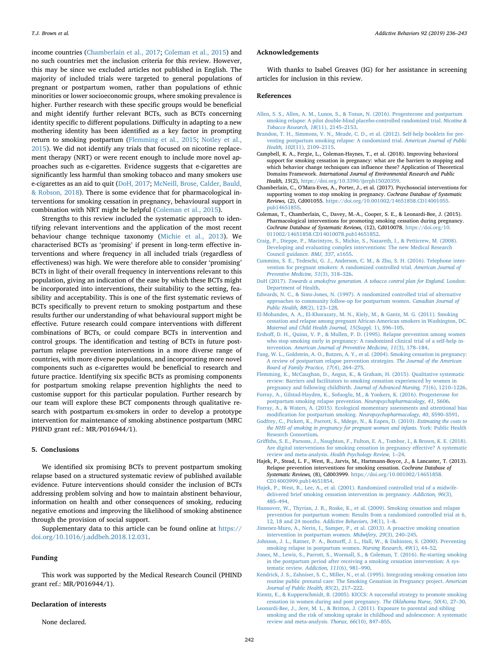*T.J. Brown et al. Addictive Behaviors 92 (2019) 236–243*

income countries ([Chamberlain et al., 2017;](#page-6-1) [Coleman et al., 2015](#page-6-7)) and no such countries met the inclusion criteria for this review. However, this may be since we excluded articles not published in English. The majority of included trials were targeted to general populations of pregnant or postpartum women, rather than populations of ethnic minorities or lower socioeconomic groups, where smoking prevalence is higher. Further research with these specific groups would be beneficial and might identify further relevant BCTs, such as BCTs concerning identity specific to different populations. Difficulty in adapting to a new mothering identity has been identified as a key factor in prompting return to smoking postpartum ([Flemming et al., 2015](#page-6-2); [Notley et al.,](#page-7-0) [2015\)](#page-7-0). We did not identify any trials that focused on nicotine replacement therapy (NRT) or were recent enough to include more novel approaches such as e-cigarettes. Evidence suggests that e-cigarettes are significantly less harmful than smoking tobacco and many smokers use e-cigarettes as an aid to quit [\(DoH, 2017](#page-6-0); [McNeill, Brose, Calder, Bauld,](#page-7-34) [& Robson, 2018\)](#page-7-34). There is some evidence that for pharmacological interventions for smoking cessation in pregnancy, behavioural support in combination with NRT might be helpful [\(Coleman et al., 2015\)](#page-6-7).

Strengths to this review included the systematic approach to identifying relevant interventions and the application of the most recent behaviour change technique taxonomy ([Michie et al., 2013\)](#page-7-9). We characterised BCTs as 'promising' if present in long-term effective interventions and where frequency in all included trials (regardless of effectiveness) was high. We were therefore able to consider 'promising' BCTs in light of their overall frequency in interventions relevant to this population, giving an indication of the ease by which these BCTs might be incorporated into interventions, their suitability to the setting, feasibility and acceptability. This is one of the first systematic reviews of BCTs specifically to prevent return to smoking postpartum and these results further our understanding of what behavioural support might be effective. Future research could compare interventions with different combinations of BCTs, or could compare BCTs in intervention and control groups. The identification and testing of BCTs in future postpartum relapse prevention interventions in a more diverse range of countries, with more diverse populations, and incorporating more novel components such as e-cigarettes would be beneficial to research and future practice. Identifying six specific BCTs as promising components for postpartum smoking relapse prevention highlights the need to customise support for this particular population. Further research by our team will explore these BCT components through qualitative research with postpartum ex-smokers in order to develop a prototype intervention for maintenance of smoking abstinence postpartum (MRC PHIND grant ref.: MR/P016944/1).

# **5. Conclusions**

We identified six promising BCTs to prevent postpartum smoking relapse based on a structured systematic review of published available evidence. Future interventions should consider the inclusion of BCTs addressing problem solving and how to maintain abstinent behaviour, information on health and other consequences of smoking, reducing negative emotions and improving the likelihood of smoking abstinence through the provision of social support.

Supplementary data to this article can be found online at [https://](https://doi.org/10.1016/j.addbeh.2018.12.031) [doi.org/10.1016/j.addbeh.2018.12.031](https://doi.org/10.1016/j.addbeh.2018.12.031).

# **Funding**

This work was supported by the Medical Research Council (PHIND grant ref.: MR/P016944/1).

# **Declaration of interests**

None declared.

## **Acknowledgements**

With thanks to Isabel Greaves (IG) for her assistance in screening articles for inclusion in this review.

#### **References**

- <span id="page-6-11"></span>[Allen, S. S., Allen, A. M., Lunos, S., & Tosun, N. \(2016\). Progesterone and postpartum](http://refhub.elsevier.com/S0306-4603(18)31324-8/rf0005) [smoking relapse: A pilot double-blind placebo-controlled randomized trial.](http://refhub.elsevier.com/S0306-4603(18)31324-8/rf0005) *Nicotine & [Tobacco Research, 18](http://refhub.elsevier.com/S0306-4603(18)31324-8/rf0005)*(11), 2145–2153.
- <span id="page-6-12"></span>[Brandon, T. H., Simmons, V. N., Meade, C. D., et al. \(2012\). Self-help booklets for pre](http://refhub.elsevier.com/S0306-4603(18)31324-8/rf0010)[venting postpartum smoking relapse: A randomized trial.](http://refhub.elsevier.com/S0306-4603(18)31324-8/rf0010) *American Journal of Public Health, 102*[\(11\), 2109–2115.](http://refhub.elsevier.com/S0306-4603(18)31324-8/rf0010)
- <span id="page-6-10"></span>Campbell, K. A., Fergie, L., Coleman-Haynes, T., et al. (2018). Improving behavioral support for smoking cessation in pregnancy: what are the barriers to stopping and which behavior change techniques can influence these? Application of Theoretical Domains Framework. *International Journal of Environmental Research and Public Health, 15*(2), [https://doi.org/10.3390/ijerph15020359.](https://doi.org/10.3390/ijerph15020359)
- <span id="page-6-1"></span>Chamberlain, C., O'Mara-Eves, A., Porter, J., et al. (2017). Psychosocial interventions for supporting women to stop smoking in pregnancy. *Cochrane Database of Systematic Reviews,* (2), Cd001055. [https://doi.org/10.001002/14651858.CD14001055.](https://doi.org/10.001002/14651858.CD14001055.pub14651855) [pub14651855](https://doi.org/10.001002/14651858.CD14001055.pub14651855).
- <span id="page-6-7"></span>Coleman, T., Chamberlain, C., Davey, M.-A., Cooper, S. E., & Leonardi-Bee, J. (2015). Pharmacological interventions for promoting smoking cessation during pregnancy. *Cochrane Database of Systematic Reviews,* (12), Cd010078. [https://doi.org/10.](https://doi.org/10.011002/14651858.CD14010078.pub14651852) [011002/14651858.CD14010078.pub14651852](https://doi.org/10.011002/14651858.CD14010078.pub14651852).
- <span id="page-6-9"></span>[Craig, P., Dieppe, P., Macintyre, S., Michie, S., Nazareth, I., & Petticrew, M. \(2008\).](http://refhub.elsevier.com/S0306-4603(18)31324-8/rf0030) [Developing and evaluating complex interventions: The new Medical Research](http://refhub.elsevier.com/S0306-4603(18)31324-8/rf0030) [Council guidance.](http://refhub.elsevier.com/S0306-4603(18)31324-8/rf0030) *BMJ, 337*, a1655.
- <span id="page-6-13"></span>[Cummins, S. E., Tedeschi, G. J., Anderson, C. M., & Zhu, S. H. \(2016\). Telephone inter](http://refhub.elsevier.com/S0306-4603(18)31324-8/rf0035)[vention for pregnant smokers: A randomized controlled trial.](http://refhub.elsevier.com/S0306-4603(18)31324-8/rf0035) *American Journal of [Preventive Medicine, 51](http://refhub.elsevier.com/S0306-4603(18)31324-8/rf0035)*(3), 318–326.
- <span id="page-6-0"></span>DoH (2017). *[Towards a smokefree generation. A tobacco control plan for England.](http://refhub.elsevier.com/S0306-4603(18)31324-8/rf0040)* London: [Department of Health.](http://refhub.elsevier.com/S0306-4603(18)31324-8/rf0040)
- <span id="page-6-14"></span>[Edwards, N. C., & Sims-Jones, N. \(1997\). A randomized controlled trial of alternative](http://refhub.elsevier.com/S0306-4603(18)31324-8/rf0045) [approaches to community follow-up for postpartum women.](http://refhub.elsevier.com/S0306-4603(18)31324-8/rf0045) *Canadian Journal of [Public Health, 88](http://refhub.elsevier.com/S0306-4603(18)31324-8/rf0045)*(2), 123–128.
- <span id="page-6-15"></span>[El-Mohandes, A. A., El-Khorazaty, M. N., Kiely, M., & Gantz, M. G. \(2011\). Smoking](http://refhub.elsevier.com/S0306-4603(18)31324-8/rf0050) [cessation and relapse among pregnant African-American smokers in Washington, DC.](http://refhub.elsevier.com/S0306-4603(18)31324-8/rf0050) *[Maternal and Child Health Journal, 15](http://refhub.elsevier.com/S0306-4603(18)31324-8/rf0050)*(Suppl. 1), S96–105.
- <span id="page-6-16"></span>[Ershoff, D. H., Quinn, V. P., & Mullen, P. D. \(1995\). Relapse prevention among women](http://refhub.elsevier.com/S0306-4603(18)31324-8/rf0055) [who stop smoking early in pregnancy: A randomized clinical trial of a self-help in](http://refhub.elsevier.com/S0306-4603(18)31324-8/rf0055)tervention. *[American Journal of Preventive Medicine, 11](http://refhub.elsevier.com/S0306-4603(18)31324-8/rf0055)*(3), 178–184.
- <span id="page-6-4"></span>[Fang, W. L., Goldstein, A. O., Butzen, A. Y., et al. \(2004\). Smoking cessation in pregnancy:](http://refhub.elsevier.com/S0306-4603(18)31324-8/rf0060) [A review of postpartum relapse prevention strategies.](http://refhub.elsevier.com/S0306-4603(18)31324-8/rf0060) *The Journal of the American [Board of Family Practice, 17](http://refhub.elsevier.com/S0306-4603(18)31324-8/rf0060)*(4), 264–275.
- <span id="page-6-2"></span>[Flemming, K., McCaughan, D., Angus, K., & Graham, H. \(2015\). Qualitative systematic](http://refhub.elsevier.com/S0306-4603(18)31324-8/rf0065) [review: Barriers and facilitators to smoking cessation experienced by women in](http://refhub.elsevier.com/S0306-4603(18)31324-8/rf0065) [pregnancy and following childbirth.](http://refhub.elsevier.com/S0306-4603(18)31324-8/rf0065) *Journal of Advanced Nursing, 71*(6), 1210–1226.
- <span id="page-6-17"></span>[Forray, A., Gilstad-Hayden, K., Sofuoglu, M., & Yonkers, K. \(2016\). Progesterone for](http://refhub.elsevier.com/S0306-4603(18)31324-8/rf0070) [postpartum smoking relapse prevention.](http://refhub.elsevier.com/S0306-4603(18)31324-8/rf0070) *Neuropsychopharmacology, 41*, S606.
- <span id="page-6-18"></span>[Forray, A., & Waters, A. \(2015\). Ecological momentary assessments and attentional bias](http://refhub.elsevier.com/S0306-4603(18)31324-8/rf0075) [modification for postpartum smoking.](http://refhub.elsevier.com/S0306-4603(18)31324-8/rf0075) *Neuropsychopharmacology, 40*, S590–S591.
- <span id="page-6-5"></span>[Godfrey, C., Pickett, K., Parrott, S., Mdege, N., & Eapen, D. \(2010\).](http://refhub.elsevier.com/S0306-4603(18)31324-8/rf0080) *Estimating the costs to [the NHS of smoking in pregnancy for pregnant women and infants.](http://refhub.elsevier.com/S0306-4603(18)31324-8/rf0080)* York: Public Health [Research Consortium.](http://refhub.elsevier.com/S0306-4603(18)31324-8/rf0080)
- <span id="page-6-25"></span>[Griffiths, S. E., Parsons, J., Naughton, F., Fulton, E. A., Tombor, I., & Brown, K. E. \(2018\).](http://refhub.elsevier.com/S0306-4603(18)31324-8/rf0085) [Are digital interventions for smoking cessation in pregnancy effective? A systematic](http://refhub.elsevier.com/S0306-4603(18)31324-8/rf0085) [review and meta-analysis.](http://refhub.elsevier.com/S0306-4603(18)31324-8/rf0085) *Health Psychology Review,* 1–24.
- <span id="page-6-8"></span>Hajek, P., Stead, L. F., West, R., Jarvis, M., Hartmann-Boyce, J., & Lancaster, T. (2013). Relapse prevention interventions for smoking cessation. *Cochrane Database of Systematic Reviews,* (8), Cd003999. [https://doi.org/10.001002/14651858.](https://doi.org/10.001002/14651858.CD14003999.pub14651854) [CD14003999.pub14651854.](https://doi.org/10.001002/14651858.CD14003999.pub14651854)
- <span id="page-6-19"></span>[Hajek, P., West, R., Lee, A., et al. \(2001\). Randomized controlled trial of a midwife](http://refhub.elsevier.com/S0306-4603(18)31324-8/rf0095)[delivered brief smoking cessation intervention in pregnancy.](http://refhub.elsevier.com/S0306-4603(18)31324-8/rf0095) *Addiction, 96*(3), [485–494](http://refhub.elsevier.com/S0306-4603(18)31324-8/rf0095).
- <span id="page-6-20"></span>[Hannover, W., Thyrian, J. R., Roske, K., et al. \(2009\). Smoking cessation and relapse](http://refhub.elsevier.com/S0306-4603(18)31324-8/rf0100) [prevention for postpartum women: Results from a randomized controlled trial at 6,](http://refhub.elsevier.com/S0306-4603(18)31324-8/rf0100) [12, 18 and 24 months.](http://refhub.elsevier.com/S0306-4603(18)31324-8/rf0100) *Addictive Behaviors, 34*(1), 1–8.
- <span id="page-6-21"></span>[Jimenez-Muro, A., Nerin, I., Samper, P., et al. \(2013\). A proactive smoking cessation](http://refhub.elsevier.com/S0306-4603(18)31324-8/rf0105) [intervention in postpartum women.](http://refhub.elsevier.com/S0306-4603(18)31324-8/rf0105) *Midwifery, 29*(3), 240–245.
- <span id="page-6-22"></span>[Johnson, J. L., Ratner, P. A., Bottorff, J. L., Hall, W., & Dahinten, S. \(2000\). Preventing](http://refhub.elsevier.com/S0306-4603(18)31324-8/rf0110) [smoking relapse in postpartum women.](http://refhub.elsevier.com/S0306-4603(18)31324-8/rf0110) *Nursing Research, 49*(1), 44–52.
- <span id="page-6-3"></span>[Jones, M., Lewis, S., Parrott, S., Wormall, S., & Coleman, T. \(2016\). Re-starting smoking](http://refhub.elsevier.com/S0306-4603(18)31324-8/rf0115) [in the postpartum period after receiving a smoking cessation intervention: A sys](http://refhub.elsevier.com/S0306-4603(18)31324-8/rf0115)[tematic review.](http://refhub.elsevier.com/S0306-4603(18)31324-8/rf0115) *Addiction, 111*(6), 981–990.
- <span id="page-6-23"></span>[Kendrick, J. S., Zahniser, S. C., Miller, N., et al. \(1995\). Integrating smoking cessation into](http://refhub.elsevier.com/S0306-4603(18)31324-8/rf0120) [routine public prenatal care: The Smoking Cessation in Pregnancy project.](http://refhub.elsevier.com/S0306-4603(18)31324-8/rf0120) *American [Journal of Public Health, 85](http://refhub.elsevier.com/S0306-4603(18)31324-8/rf0120)*(2), 217–222.
- <span id="page-6-24"></span>[Kientz, E., & Kupperschmidt, B. \(2005\). KICCS: A successful strategy to promote smoking](http://refhub.elsevier.com/S0306-4603(18)31324-8/rf0125) [cessation in women during and post pregnancy.](http://refhub.elsevier.com/S0306-4603(18)31324-8/rf0125) *The Oklahoma Nurse, 50*(4), 27–30.
- <span id="page-6-6"></span>[Leonardi-Bee, J., Jere, M. L., & Britton, J. \(2011\). Exposure to parental and sibling](http://refhub.elsevier.com/S0306-4603(18)31324-8/rf0130) [smoking and the risk of smoking uptake in childhood and adolescence: A systematic](http://refhub.elsevier.com/S0306-4603(18)31324-8/rf0130) [review and meta-analysis.](http://refhub.elsevier.com/S0306-4603(18)31324-8/rf0130) *Thorax, 66*(10), 847–855.